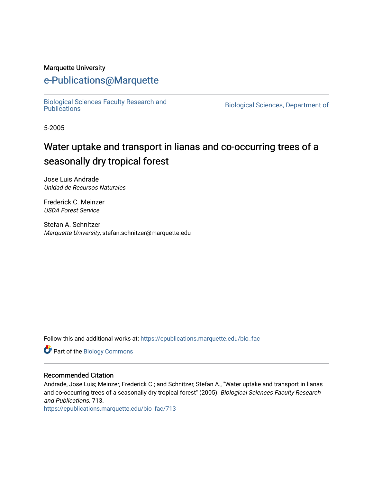#### Marquette University

# [e-Publications@Marquette](https://epublications.marquette.edu/)

[Biological Sciences Faculty Research and](https://epublications.marquette.edu/bio_fac) 

Biological Sciences, Department of

5-2005

# Water uptake and transport in lianas and co-occurring trees of a seasonally dry tropical forest

Jose Luis Andrade Unidad de Recursos Naturales

Frederick C. Meinzer USDA Forest Service

Stefan A. Schnitzer Marquette University, stefan.schnitzer@marquette.edu

Follow this and additional works at: [https://epublications.marquette.edu/bio\\_fac](https://epublications.marquette.edu/bio_fac?utm_source=epublications.marquette.edu%2Fbio_fac%2F713&utm_medium=PDF&utm_campaign=PDFCoverPages) 

Part of the [Biology Commons](http://network.bepress.com/hgg/discipline/41?utm_source=epublications.marquette.edu%2Fbio_fac%2F713&utm_medium=PDF&utm_campaign=PDFCoverPages) 

#### Recommended Citation

Andrade, Jose Luis; Meinzer, Frederick C.; and Schnitzer, Stefan A., "Water uptake and transport in lianas and co-occurring trees of a seasonally dry tropical forest" (2005). Biological Sciences Faculty Research and Publications. 713.

[https://epublications.marquette.edu/bio\\_fac/713](https://epublications.marquette.edu/bio_fac/713?utm_source=epublications.marquette.edu%2Fbio_fac%2F713&utm_medium=PDF&utm_campaign=PDFCoverPages)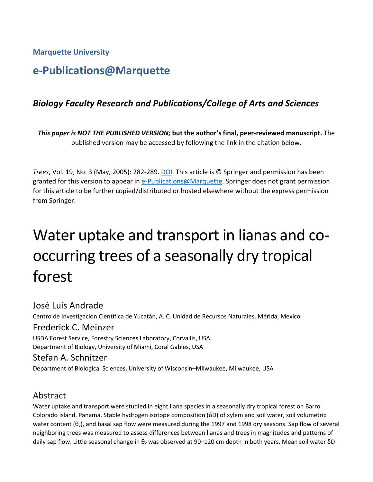**Marquette University**

# **e-Publications@Marquette**

# *Biology Faculty Research and Publications/College of Arts and Sciences*

*This paper is NOT THE PUBLISHED VERSION;* **but the author's final, peer-reviewed manuscript.** The published version may be accessed by following the link in the citation below.

*Trees*, Vol. 19, No. 3 (May, 2005): 282-289. DOI. This article is © Springer and permission has been granted for this version to appear in [e-Publications@Marquette.](http://epublications.marquette.edu/) Springer does not grant permission for this article to be further copied/distributed or hosted elsewhere without the express permission from Springer.

# Water uptake and transport in lianas and cooccurring trees of a seasonally dry tropical forest

José Luis Andrade

Centro de Investigación Científica de Yucatán, A. C. Unidad de Recursos Naturales, Mérida, Mexico

#### Frederick C. Meinzer

USDA Forest Service, Forestry Sciences Laboratory, Corvallis, USA Department of Biology, University of Miami, Coral Gables, USA

#### Stefan A. Schnitzer

Department of Biological Sciences, University of Wisconsin–Milwaukee, Milwaukee, USA

# Abstract

Water uptake and transport were studied in eight liana species in a seasonally dry tropical forest on Barro Colorado Island, Panama. Stable hydrogen isotope composition (δD) of xylem and soil water, soil volumetric water content (θ<sub>v</sub>), and basal sap flow were measured during the 1997 and 1998 dry seasons. Sap flow of several neighboring trees was measured to assess differences between lianas and trees in magnitudes and patterns of daily sap flow. Little seasonal change in  $\theta_v$  was observed at 90–120 cm depth in both years. Mean soil water  $\delta D$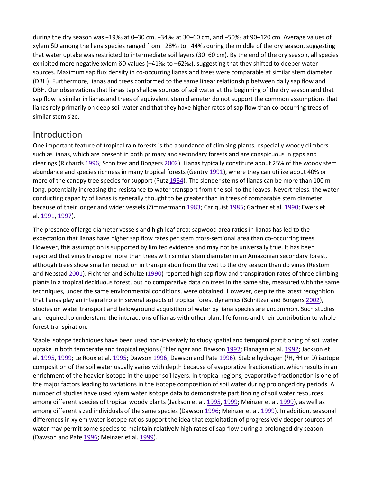during the dry season was −19‰ at 0–30 cm, −34‰ at 30–60 cm, and −50‰ at 90–120 cm. Average values of xylem δD among the liana species ranged from –28‰ to –44‰ during the middle of the dry season, suggesting that water uptake was restricted to intermediate soil layers (30–60 cm). By the end of the dry season, all species exhibited more negative xylem δD values (–41‰ to –62‰), suggesting that they shifted to deeper water sources. Maximum sap flux density in co-occurring lianas and trees were comparable at similar stem diameter (DBH). Furthermore, lianas and trees conformed to the same linear relationship between daily sap flow and DBH. Our observations that lianas tap shallow sources of soil water at the beginning of the dry season and that sap flow is similar in lianas and trees of equivalent stem diameter do not support the common assumptions that lianas rely primarily on deep soil water and that they have higher rates of sap flow than co-occurring trees of similar stem size.

#### Introduction

One important feature of tropical rain forests is the abundance of climbing plants, especially woody climbers such as lianas, which are present in both primary and secondary forests and are conspicuous in gaps and clearings (Richards [1996;](https://link.springer.com/article/10.1007/s00468-004-0388-x#CR35) Schnitzer and Bongers [2002\)](https://link.springer.com/article/10.1007/s00468-004-0388-x#CR36). Lianas typically constitute about 25% of the woody stem abundance and species richness in many tropical forests (Gentry [1991](https://link.springer.com/article/10.1007/s00468-004-0388-x#CR17)), where they can utilize about 40% or more of the canopy tree species for support (Putz [1984](https://link.springer.com/article/10.1007/s00468-004-0388-x#CR33)). The slender stems of lianas can be more than 100 m long, potentially increasing the resistance to water transport from the soil to the leaves. Nevertheless, the water conducting capacity of lianas is generally thought to be greater than in trees of comparable stem diameter because of their longer and wider vessels (Zimmermann [1983;](https://link.springer.com/article/10.1007/s00468-004-0388-x#CR42) Carlquist [1985;](https://link.springer.com/article/10.1007/s00468-004-0388-x#CR3) Gartner et al. [1990;](https://link.springer.com/article/10.1007/s00468-004-0388-x#CR16) Ewers et al. [1991,](https://link.springer.com/article/10.1007/s00468-004-0388-x#CR12) [1997\)](https://link.springer.com/article/10.1007/s00468-004-0388-x#CR11).

The presence of large diameter vessels and high leaf area: sapwood area ratios in lianas has led to the expectation that lianas have higher sap flow rates per stem cross-sectional area than co-occurring trees. However, this assumption is supported by limited evidence and may not be universally true. It has been reported that vines transpire more than trees with similar stem diameter in an Amazonian secondary forest, although trees show smaller reduction in transpiration from the wet to the dry season than do vines (Restom and Nepstad [2001\)](https://link.springer.com/article/10.1007/s00468-004-0388-x#CR34). Fichtner and Schulze [\(1990\)](https://link.springer.com/article/10.1007/s00468-004-0388-x#CR13) reported high sap flow and transpiration rates of three climbing plants in a tropical deciduous forest, but no comparative data on trees in the same site, measured with the same techniques, under the same environmental conditions, were obtained. However, despite the latest recognition that lianas play an integral role in several aspects of tropical forest dynamics (Schnitzer and Bongers [2002\)](https://link.springer.com/article/10.1007/s00468-004-0388-x#CR36), studies on water transport and belowground acquisition of water by liana species are uncommon. Such studies are required to understand the interactions of lianas with other plant life forms and their contribution to wholeforest transpiration.

Stable isotope techniques have been used non-invasively to study spatial and temporal partitioning of soil water uptake in both temperate and tropical regions (Ehleringer and Dawson [1992;](https://link.springer.com/article/10.1007/s00468-004-0388-x#CR9) Flanagan et al. [1992;](https://link.springer.com/article/10.1007/s00468-004-0388-x#CR14) Jackson et al. [1995,](https://link.springer.com/article/10.1007/s00468-004-0388-x#CR23) [1999;](https://link.springer.com/article/10.1007/s00468-004-0388-x#CR24) Le Roux et al. [1995;](https://link.springer.com/article/10.1007/s00468-004-0388-x#CR28) Dawson [1996;](https://link.springer.com/article/10.1007/s00468-004-0388-x#CR7) Dawson and Pate [1996\)](https://link.springer.com/article/10.1007/s00468-004-0388-x#CR8). Stable hydrogen (<sup>1</sup>H, <sup>2</sup>H or D) isotope composition of the soil water usually varies with depth because of evaporative fractionation, which results in an enrichment of the heavier isotope in the upper soil layers. In tropical regions, evaporative fractionation is one of the major factors leading to variations in the isotope composition of soil water during prolonged dry periods. A number of studies have used xylem water isotope data to demonstrate partitioning of soil water resources among different species of tropical woody plants (Jackson et al. [1995,](https://link.springer.com/article/10.1007/s00468-004-0388-x#CR23) [1999;](https://link.springer.com/article/10.1007/s00468-004-0388-x#CR24) Meinzer et al. [1999\)](https://link.springer.com/article/10.1007/s00468-004-0388-x#CR29), as well as among different sized individuals of the same species (Dawson [1996;](https://link.springer.com/article/10.1007/s00468-004-0388-x#CR7) Meinzer et al. [1999\)](https://link.springer.com/article/10.1007/s00468-004-0388-x#CR29). In addition, seasonal differences in xylem water isotope ratios support the idea that exploitation of progressively deeper sources of water may permit some species to maintain relatively high rates of sap flow during a prolonged dry season (Dawson and Pate [1996;](https://link.springer.com/article/10.1007/s00468-004-0388-x#CR8) Meinzer et al. [1999\)](https://link.springer.com/article/10.1007/s00468-004-0388-x#CR29).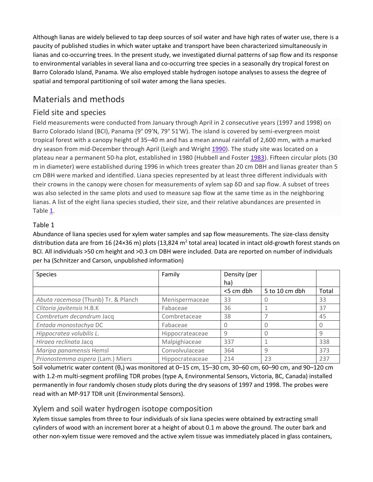Although lianas are widely believed to tap deep sources of soil water and have high rates of water use, there is a paucity of published studies in which water uptake and transport have been characterized simultaneously in lianas and co-occurring trees. In the present study, we investigated diurnal patterns of sap flow and its response to environmental variables in several liana and co-occurring tree species in a seasonally dry tropical forest on Barro Colorado Island, Panama. We also employed stable hydrogen isotope analyses to assess the degree of spatial and temporal partitioning of soil water among the liana species.

# Materials and methods

#### Field site and species

Field measurements were conducted from January through April in 2 consecutive years (1997 and 1998) on Barro Colorado Island (BCI), Panama (9° 09′N, 79° 51′W). The island is covered by semi-evergreen moist tropical forest with a canopy height of 35–40 m and has a mean annual rainfall of 2,600 mm, with a marked dry season from mid-December through April (Leigh and Wright [1990\)](https://link.springer.com/article/10.1007/s00468-004-0388-x#CR27). The study site was located on a plateau near a permanent 50-ha plot, established in 1980 (Hubbell and Foster [1983\)](https://link.springer.com/article/10.1007/s00468-004-0388-x#CR22). Fifteen circular plots (30 m in diameter) were established during 1996 in which trees greater than 20 cm DBH and lianas greater than 5 cm DBH were marked and identified. Liana species represented by at least three different individuals with their crowns in the canopy were chosen for measurements of xylem sap δD and sap flow. A subset of trees was also selected in the same plots and used to measure sap flow at the same time as in the neighboring lianas. A list of the eight liana species studied, their size, and their relative abundances are presented in Table [1.](https://link.springer.com/article/10.1007/s00468-004-0388-x#Tab1)

#### Table 1

Abundance of liana species used for xylem water samples and sap flow measurements. The size-class density distribution data are from 16 (24×36 m) plots (13,824 m<sup>2</sup> total area) located in intact old-growth forest stands on BCI. All individuals >50 cm height and >0.3 cm DBH were included. Data are reported on number of individuals per ha (Schnitzer and Carson, unpublished information)

| Species                             | Family          | Density (per |                |       |
|-------------------------------------|-----------------|--------------|----------------|-------|
|                                     |                 | ha)          |                |       |
|                                     |                 | <5 cm dbh    | 5 to 10 cm dbh | Total |
| Abuta racemosa (Thunb) Tr. & Planch | Menispermaceae  | 33           |                | 33    |
| Clitoria javitensis H.B.K           | Fabaceae        | 36           |                | 37    |
| Combretum decandrum Jacq            | Combretaceae    | 38           |                | 45    |
| Entada monostachya DC               | Fabaceae        |              |                |       |
| Hippocratea volubilis L.            | Hippocrateaceae | 9            |                | 9     |
| Hiraea reclinata Jacq               | Malpighiaceae   | 337          |                | 338   |
| Maripa panamensis Hemsl             | Convolvulaceae  | 364          | 9              | 373   |
| Prionostemma aspera (Lam.) Miers    | Hippocrateaceae | 214          | 23             | 237   |

Soil volumetric water content  $(θ<sub>v</sub>)$  was monitored at 0–15 cm, 15–30 cm, 30–60 cm, 60–90 cm, and 90–120 cm with 1.2-m multi-segment profiling TDR probes (type A, Environmental Sensors, Victoria, BC, Canada) installed permanently in four randomly chosen study plots during the dry seasons of 1997 and 1998. The probes were read with an MP-917 TDR unit (Environmental Sensors).

#### Xylem and soil water hydrogen isotope composition

Xylem tissue samples from three to four individuals of six liana species were obtained by extracting small cylinders of wood with an increment borer at a height of about 0.1 m above the ground. The outer bark and other non-xylem tissue were removed and the active xylem tissue was immediately placed in glass containers,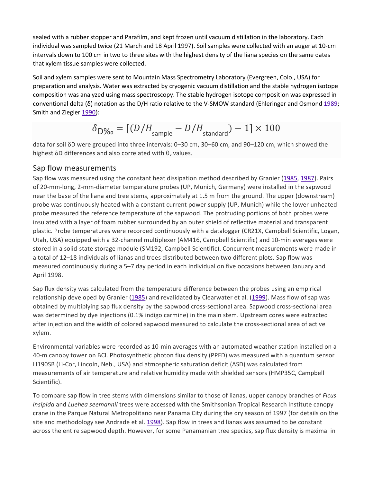sealed with a rubber stopper and Parafilm, and kept frozen until vacuum distillation in the laboratory. Each individual was sampled twice (21 March and 18 April 1997). Soil samples were collected with an auger at 10-cm intervals down to 100 cm in two to three sites with the highest density of the liana species on the same dates that xylem tissue samples were collected.

Soil and xylem samples were sent to Mountain Mass Spectrometry Laboratory (Evergreen, Colo., USA) for preparation and analysis. Water was extracted by cryogenic vacuum distillation and the stable hydrogen isotope composition was analyzed using mass spectroscopy. The stable hydrogen isotope composition was expressed in conventional delta (δ) notation as the D/H ratio relative to the V-SMOW standard (Ehleringer and Osmond [1989;](https://link.springer.com/article/10.1007/s00468-004-0388-x#CR10) Smith and Ziegler [1990\)](https://link.springer.com/article/10.1007/s00468-004-0388-x#CR37):

$$
\delta_{\rm D\%o} = [(D/H_{\rm sample} - D/H_{\rm standard}) - 1] \times 100
$$

data for soil δD were grouped into three intervals: 0–30 cm, 30–60 cm, and 90–120 cm, which showed the highest  $\delta D$  differences and also correlated with  $\theta_v$  values.

#### Sap flow measurements

Sap flow was measured using the constant heat dissipation method described by Granier [\(1985,](https://link.springer.com/article/10.1007/s00468-004-0388-x#CR19) [1987\)](https://link.springer.com/article/10.1007/s00468-004-0388-x#CR20). Pairs of 20-mm-long, 2-mm-diameter temperature probes (UP, Munich, Germany) were installed in the sapwood near the base of the liana and tree stems, approximately at 1.5 m from the ground. The upper (downstream) probe was continuously heated with a constant current power supply (UP, Munich) while the lower unheated probe measured the reference temperature of the sapwood. The protruding portions of both probes were insulated with a layer of foam rubber surrounded by an outer shield of reflective material and transparent plastic. Probe temperatures were recorded continuously with a datalogger (CR21X, Campbell Scientific, Logan, Utah, USA) equipped with a 32-channel multiplexer (AM416, Campbell Scientific) and 10-min averages were stored in a solid-state storage module (SM192, Campbell Scientific). Concurrent measurements were made in a total of 12–18 individuals of lianas and trees distributed between two different plots. Sap flow was measured continuously during a 5–7 day period in each individual on five occasions between January and April 1998.

Sap flux density was calculated from the temperature difference between the probes using an empirical relationship developed by Granier [\(1985\)](https://link.springer.com/article/10.1007/s00468-004-0388-x#CR19) and revalidated by Clearwater et al. [\(1999\)](https://link.springer.com/article/10.1007/s00468-004-0388-x#CR6). Mass flow of sap was obtained by multiplying sap flux density by the sapwood cross-sectional area. Sapwood cross-sectional area was determined by dye injections (0.1% indigo carmine) in the main stem. Upstream cores were extracted after injection and the width of colored sapwood measured to calculate the cross-sectional area of active xylem.

Environmental variables were recorded as 10-min averages with an automated weather station installed on a 40-m canopy tower on BCI. Photosynthetic photon flux density (PPFD) was measured with a quantum sensor LI190SB (Li-Cor, Lincoln, Neb., USA) and atmospheric saturation deficit (ASD) was calculated from measurements of air temperature and relative humidity made with shielded sensors (HMP35C, Campbell Scientific).

To compare sap flow in tree stems with dimensions similar to those of lianas, upper canopy branches of *Ficus insipida* and *Luehea seemannii* trees were accessed with the Smithsonian Tropical Research Institute canopy crane in the Parque Natural Metropolitano near Panama City during the dry season of 1997 (for details on the site and methodology see Andrade et al. [1998\)](https://link.springer.com/article/10.1007/s00468-004-0388-x#CR1). Sap flow in trees and lianas was assumed to be constant across the entire sapwood depth. However, for some Panamanian tree species, sap flux density is maximal in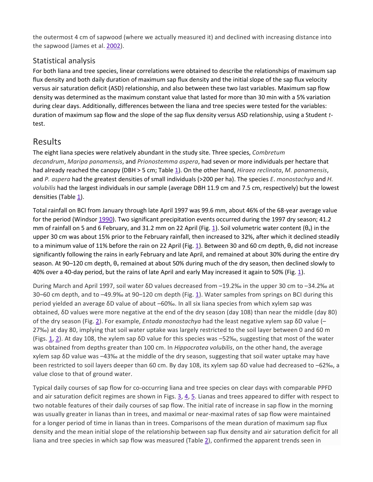the outermost 4 cm of sapwood (where we actually measured it) and declined with increasing distance into the sapwood (James et al. [2002\)](https://link.springer.com/article/10.1007/s00468-004-0388-x#CR25).

#### Statistical analysis

For both liana and tree species, linear correlations were obtained to describe the relationships of maximum sap flux density and both daily duration of maximum sap flux density and the initial slope of the sap flux velocity versus air saturation deficit (ASD) relationship, and also between these two last variables. Maximum sap flow density was determined as the maximum constant value that lasted for more than 30 min with a 5% variation during clear days. Additionally, differences between the liana and tree species were tested for the variables: duration of maximum sap flow and the slope of the sap flux density versus ASD relationship, using a Student *t*test.

## Results

The eight liana species were relatively abundant in the study site. Three species, *Combretum decandrum*, *Maripa panamensis*, and *Prionostemma aspera*, had seven or more individuals per hectare that had already reached the canopy (DBH > 5 cm; Table [1\)](https://link.springer.com/article/10.1007/s00468-004-0388-x#Tab1). On the other hand, *Hiraea reclinata*, *M. panamensis*, and *P. aspera* had the greatest densities of small individuals (>200 per ha). The species *E*. *monostachya* and *H. volubilis* had the largest individuals in our sample (average DBH 11.9 cm and 7.5 cm, respectively) but the lowest densities (Table  $1$ ).

Total rainfall on BCI from January through late April 1997 was 99.6 mm, about 46% of the 68-year average value for the period (Windsor [1990](https://link.springer.com/article/10.1007/s00468-004-0388-x#CR40)). Two significant precipitation events occurred during the 1997 dry season; 41.2 mm of rainfall on 5 and 6 February, and 3[1](https://link.springer.com/article/10.1007/s00468-004-0388-x#Fig1).2 mm on 22 April (Fig. 1). Soil volumetric water content ( $\theta$ <sub>v</sub>) in the upper 30 cm was about 15% prior to the February rainfall, then increased to 32%, after which it declined steadily to a minimum value of [1](https://link.springer.com/article/10.1007/s00468-004-0388-x#Fig1)1% before the rain on 22 April (Fig. 1). Between 30 and 60 cm depth,  $\theta_{\rm v}$  did not increase significantly following the rains in early February and late April, and remained at about 30% during the entire dry season. At 90–120 cm depth,  $\theta_{v}$  remained at about 50% during much of the dry season, then declined slowly to 40% over a 40-day period, but the rains of late April and early May increased it again to 50% (Fig. [1\)](https://link.springer.com/article/10.1007/s00468-004-0388-x#Fig1).

During March and April 1997, soil water δD values decreased from –19.2‰ in the upper 30 cm to –34.2‰ at 30–60 cm depth, and to –49.9‰ at 90–120 cm depth (Fig. [1\)](https://link.springer.com/article/10.1007/s00468-004-0388-x#Fig1). Water samples from springs on BCI during this period yielded an average δD value of about –60‰. In all six liana species from which xylem sap was obtained, δD values were more negative at the end of the dry season (day 108) than near the middle (day 80) of the dry season (Fig. [2\)](https://link.springer.com/article/10.1007/s00468-004-0388-x#Fig2). For example, *Entada monostachya* had the least negative xylem sap δD value (– 27‰) at day 80, implying that soil water uptake was largely restricted to the soil layer between 0 and 60 m (Figs. [1,](https://link.springer.com/article/10.1007/s00468-004-0388-x#Fig1) [2](https://link.springer.com/article/10.1007/s00468-004-0388-x#Fig2)). At day 108, the xylem sap δD value for this species was –52‰, suggesting that most of the water was obtained from depths greater than 100 cm. In *Hippocratea volubilis*, on the other hand, the average xylem sap δD value was –43‰ at the middle of the dry season, suggesting that soil water uptake may have been restricted to soil layers deeper than 60 cm. By day 108, its xylem sap δD value had decreased to –62‰, a value close to that of ground water.

Typical daily courses of sap flow for co-occurring liana and tree species on clear days with comparable PPFD and air saturation deficit regimes are shown in Figs. [3,](https://link.springer.com/article/10.1007/s00468-004-0388-x#Fig3) [4](https://link.springer.com/article/10.1007/s00468-004-0388-x#Fig4), [5.](https://link.springer.com/article/10.1007/s00468-004-0388-x#Fig5) Lianas and trees appeared to differ with respect to two notable features of their daily courses of sap flow. The initial rate of increase in sap flow in the morning was usually greater in lianas than in trees, and maximal or near-maximal rates of sap flow were maintained for a longer period of time in lianas than in trees. Comparisons of the mean duration of maximum sap flux density and the mean initial slope of the relationship between sap flux density and air saturation deficit for all liana and tree species in which sap flow was measured (Table [2\)](https://link.springer.com/article/10.1007/s00468-004-0388-x#Tab2), confirmed the apparent trends seen in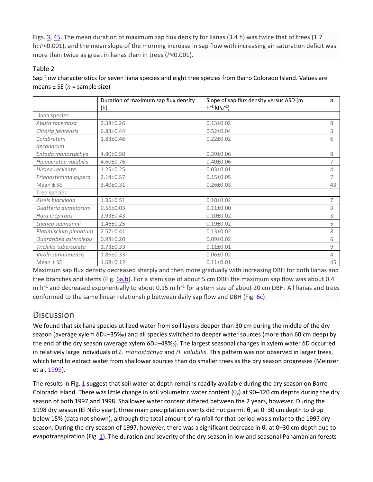Figs. [3,](https://link.springer.com/article/10.1007/s00468-004-0388-x#Fig3) [4](https://link.springer.com/article/10.1007/s00468-004-0388-x#Fig4)[5](https://link.springer.com/article/10.1007/s00468-004-0388-x#Fig5). The mean duration of maximum sap flux density for lianas (3.4 h) was twice that of trees (1.7 h; *P*<0.001), and the mean slope of the morning increase in sap flow with increasing air saturation deficit was more than twice as great in lianas than in trees (*P*<0.001).

#### Table 2

Sap flow characteristics for seven liana species and eight tree species from Barro Colorado Island. Values are means ± SE (*n* = sample size)

|                        | Duration of maximum sap flux density | Slope of sap flux density versus ASD (m | $\mathsf{n}$   |
|------------------------|--------------------------------------|-----------------------------------------|----------------|
|                        | (h)                                  | $h^{-1}$ kPa <sup>-1</sup> )            |                |
| Liana species          |                                      |                                         |                |
| Abuta racemosa         | $2.38 \pm 0.26$                      | $0.13 \pm 0.02$                         | 8              |
| Clitoria javitensis    | $6.83 \pm 0.44$                      | $0.52 \pm 0.04$                         | 3              |
| Combretum              | $1.83 \pm 0.46$                      | $0.22 \pm 0.02$                         | 6              |
| decandrum              |                                      |                                         |                |
| Entada monostachya     | 4.80±0.50                            | $0.39 \pm 0.06$                         | 8              |
| Hippocratea volubilis  | 4.60±0.76                            | $0.40 \pm 0.06$                         | 7              |
| Hiraea reclinata       | $1.25 \pm 0.25$                      | $0.03 \pm 0.01$                         | 4              |
| Prionostemma aspera    | $2.14 \pm 0.57$                      | $0.15 \pm 0.05$                         | 7              |
| Mean $±$ SE            | 3.40±0.31                            | $0.26 \pm 0.03$                         | 43             |
| Tree species           |                                      |                                         |                |
| Alseis blackiana       | $1.35 \pm 0.51$                      | $0.10 \pm 0.02$                         | $\overline{7}$ |
| Guatteria dumetorum    | $0.56 \pm 0.03$                      | $0.11 \pm 0.00$                         | 3              |
| Hura crepitans         | $2.93 \pm 0.43$                      | $0.10\pm0.02$                           | 3              |
| Luehea seemannii       | $1.46 \pm 0.25$                      | $0.19 \pm 0.02$                         | 5              |
| Platimiscium pinnatum  | $2.57 \pm 0.41$                      | $0.13 \pm 0.02$                         | 8              |
| Quararibea asterolepis | $0.98 \pm 0.20$                      | $0.09 \pm 0.02$                         | 6              |
| Trichilia tuberculata  | $1.73 \pm 0.33$                      | $0.11 \pm 0.01$                         | 9              |
| Virola surinamensis    | 1.86±0.33                            | $0.06 \pm 0.02$                         | 4              |
| Mean $±$ SE            | 1.68±0.12                            | $0.11 \pm 0.01$                         | 45             |

Maximum sap flux density decreased sharply and then more gradually with increasing DBH for both lianas and tree branches and stems (Fig. [6a,b](https://link.springer.com/article/10.1007/s00468-004-0388-x#Fig6)). For a stem size of about 5 cm DBH the maximum sap flow was about 0.4 m h<sup>-1</sup> and decreased exponentially to about 0.15 m h<sup>-1</sup> for a stem size of about 20 cm DBH. All lianas and trees conformed to the same linear relationship between daily sap flow and DBH (Fig.  $6c$ ).

## **Discussion**

We found that six liana species utilized water from soil layers deeper than 30 cm during the middle of the dry season (average xylem δD=–35‰) and all species switched to deeper water sources (more than 60 cm deep) by the end of the dry season (average xylem δD=–48‰). The largest seasonal changes in xylem water δD occurred in relatively large individuals of *E. monostachya* and *H. volubilis*. This pattern was not observed in larger trees, which tend to extract water from shallower sources than do smaller trees as the dry season progresses (Meinzer et al. [1999\)](https://link.springer.com/article/10.1007/s00468-004-0388-x#CR29).

The results in Fig. [1](https://link.springer.com/article/10.1007/s00468-004-0388-x#Fig1) suggest that soil water at depth remains readily available during the dry season on Barro Colorado Island. There was little change in soil volumetric water content  $(\theta_v)$  at 90–120 cm depths during the dry season of both 1997 and 1998. Shallower water content differed between the 2 years, however. During the 1998 dry season (El Niño year), three main precipitation events did not permit θ<sup>v</sup> at 0–30 cm depth to drop below 15% (data not shown), although the total amount of rainfall for that period was similar to the 1997 dry season. During the dry season of 1997, however, there was a significant decrease in  $\theta_{\rm v}$  at 0–30 cm depth due to evapotranspiration (Fig. [1\)](https://link.springer.com/article/10.1007/s00468-004-0388-x#Fig1). The duration and severity of the dry season in lowland seasonal Panamanian forests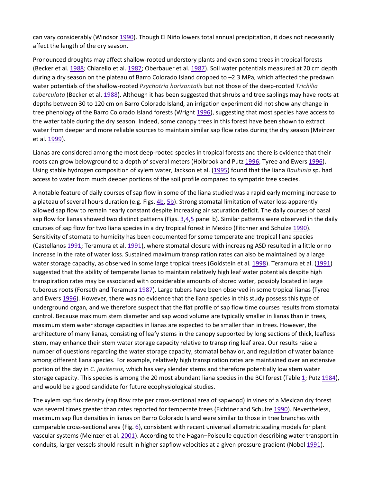can vary considerably (Windsor [1990\)](https://link.springer.com/article/10.1007/s00468-004-0388-x#CR40). Though El Niño lowers total annual precipitation, it does not necessarily affect the length of the dry season.

Pronounced droughts may affect shallow-rooted understory plants and even some trees in tropical forests (Becker et al. [1988;](https://link.springer.com/article/10.1007/s00468-004-0388-x#CR2) Chiarello et al. [1987;](https://link.springer.com/article/10.1007/s00468-004-0388-x#CR5) Oberbauer et al. [1987\)](https://link.springer.com/article/10.1007/s00468-004-0388-x#CR32). Soil water potentials measured at 20 cm depth during a dry season on the plateau of Barro Colorado Island dropped to –2.3 MPa, which affected the predawn water potentials of the shallow-rooted *Psychotria horizontalis* but not those of the deep-rooted *Trichilia tuberculata* (Becker et al. [1988\)](https://link.springer.com/article/10.1007/s00468-004-0388-x#CR2). Although it has been suggested that shrubs and tree saplings may have roots at depths between 30 to 120 cm on Barro Colorado Island, an irrigation experiment did not show any change in tree phenology of the Barro Colorado Island forests (Wright [1996\)](https://link.springer.com/article/10.1007/s00468-004-0388-x#CR41), suggesting that most species have access to the water table during the dry season. Indeed, some canopy trees in this forest have been shown to extract water from deeper and more reliable sources to maintain similar sap flow rates during the dry season (Meinzer et al. [1999\)](https://link.springer.com/article/10.1007/s00468-004-0388-x#CR29).

Lianas are considered among the most deep-rooted species in tropical forests and there is evidence that their roots can grow belowground to a depth of several meters (Holbrook and Putz [1996;](https://link.springer.com/article/10.1007/s00468-004-0388-x#CR21) Tyree and Ewers [1996\)](https://link.springer.com/article/10.1007/s00468-004-0388-x#CR39). Using stable hydrogen composition of xylem water, Jackson et al. [\(1995\)](https://link.springer.com/article/10.1007/s00468-004-0388-x#CR23) found that the liana *Bauhinia* sp. had access to water from much deeper portions of the soil profile compared to sympatric tree species.

A notable feature of daily courses of sap flow in some of the liana studied was a rapid early morning increase to a plateau of several hours duration (e.g. Figs. [4b](https://link.springer.com/article/10.1007/s00468-004-0388-x#Fig4), [5b\)](https://link.springer.com/article/10.1007/s00468-004-0388-x#Fig5). Strong stomatal limitation of water loss apparently allowed sap flow to remain nearly constant despite increasing air saturation deficit. The daily courses of basal sap flow for lianas showed two distinct patterns (Figs.  $3.4.5$  $3.4.5$  $3.4.5$  panel b). Similar patterns were observed in the daily courses of sap flow for two liana species in a dry tropical forest in Mexico (Fitchner and Schulze [1990\)](https://link.springer.com/article/10.1007/s00468-004-0388-x#CR13). Sensitivity of stomata to humidity has been documented for some temperate and tropical liana species (Castellanos [1991;](https://link.springer.com/article/10.1007/s00468-004-0388-x#CR4) Teramura et al. [1991\)](https://link.springer.com/article/10.1007/s00468-004-0388-x#CR38), where stomatal closure with increasing ASD resulted in a little or no increase in the rate of water loss. Sustained maximum transpiration rates can also be maintained by a large water storage capacity, as observed in some large tropical trees (Goldstein et al. [1998\)](https://link.springer.com/article/10.1007/s00468-004-0388-x#CR18). Teramura et al. [\(1991\)](https://link.springer.com/article/10.1007/s00468-004-0388-x#CR38) suggested that the ability of temperate lianas to maintain relatively high leaf water potentials despite high transpiration rates may be associated with considerable amounts of stored water, possibly located in large tuberous roots (Forseth and Teramura [1987\)](https://link.springer.com/article/10.1007/s00468-004-0388-x#CR15). Large tubers have been observed in some tropical lianas (Tyree and Ewers [1996\)](https://link.springer.com/article/10.1007/s00468-004-0388-x#CR39). However, there was no evidence that the liana species in this study possess this type of underground organ, and we therefore suspect that the flat profile of sap flow time courses results from stomatal control. Because maximum stem diameter and sap wood volume are typically smaller in lianas than in trees, maximum stem water storage capacities in lianas are expected to be smaller than in trees. However, the architecture of many lianas, consisting of leafy stems in the canopy supported by long sections of thick, leafless stem, may enhance their stem water storage capacity relative to transpiring leaf area. Our results raise a number of questions regarding the water storage capacity, stomatal behavior, and regulation of water balance among different liana species. For example, relatively high transpiration rates are maintained over an extensive portion of the day in *C. javitensis*, which has very slender stems and therefore potentially low stem water storage capacity. This species is among the 20 most abundant liana species in the BCI forest (Table [1;](https://link.springer.com/article/10.1007/s00468-004-0388-x#Tab1) Putz [1984](https://link.springer.com/article/10.1007/s00468-004-0388-x#CR33)), and would be a good candidate for future ecophysiological studies.

The xylem sap flux density (sap flow rate per cross-sectional area of sapwood) in vines of a Mexican dry forest was several times greater than rates reported for temperate trees (Fichtner and Schulze [1990\)](https://link.springer.com/article/10.1007/s00468-004-0388-x#CR13). Nevertheless, maximum sap flux densities in lianas on Barro Colorado Island were similar to those in tree branches with comparable cross-sectional area (Fig. [6\)](https://link.springer.com/article/10.1007/s00468-004-0388-x#Fig6), consistent with recent universal allometric scaling models for plant vascular systems (Meinzer et al. [2001\)](https://link.springer.com/article/10.1007/s00468-004-0388-x#CR30). According to the Hagan–Poiseulle equation describing water transport in conduits, larger vessels should result in higher sapflow velocities at a given pressure gradient (Nobel [1991\)](https://link.springer.com/article/10.1007/s00468-004-0388-x#CR31).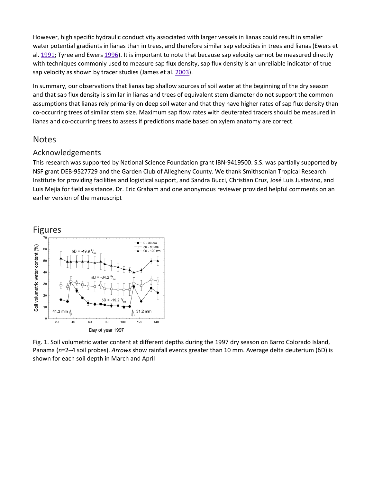However, high specific hydraulic conductivity associated with larger vessels in lianas could result in smaller water potential gradients in lianas than in trees, and therefore similar sap velocities in trees and lianas (Ewers et al. [1991;](https://link.springer.com/article/10.1007/s00468-004-0388-x#CR12) Tyree and Ewers [1996\)](https://link.springer.com/article/10.1007/s00468-004-0388-x#CR39). It is important to note that because sap velocity cannot be measured directly with techniques commonly used to measure sap flux density, sap flux density is an unreliable indicator of true sap velocity as shown by tracer studies (James et al. [2003\)](https://link.springer.com/article/10.1007/s00468-004-0388-x#CR26).

In summary, our observations that lianas tap shallow sources of soil water at the beginning of the dry season and that sap flux density is similar in lianas and trees of equivalent stem diameter do not support the common assumptions that lianas rely primarily on deep soil water and that they have higher rates of sap flux density than co-occurring trees of similar stem size. Maximum sap flow rates with deuterated tracers should be measured in lianas and co-occurring trees to assess if predictions made based on xylem anatomy are correct.

#### **Notes**

#### Acknowledgements

This research was supported by National Science Foundation grant IBN-9419500. S.S. was partially supported by NSF grant DEB-9527729 and the Garden Club of Allegheny County. We thank Smithsonian Tropical Research Institute for providing facilities and logistical support, and Sandra Bucci, Christian Cruz, José Luis Justavino, and Luis Mejía for field assistance. Dr. Eric Graham and one anonymous reviewer provided helpful comments on an earlier version of the manuscript



Fig. 1. Soil volumetric water content at different depths during the 1997 dry season on Barro Colorado Island, Panama (*n*=2–4 soil probes). *Arrows* show rainfall events greater than 10 mm. Average delta deuterium (δD) is shown for each soil depth in March and April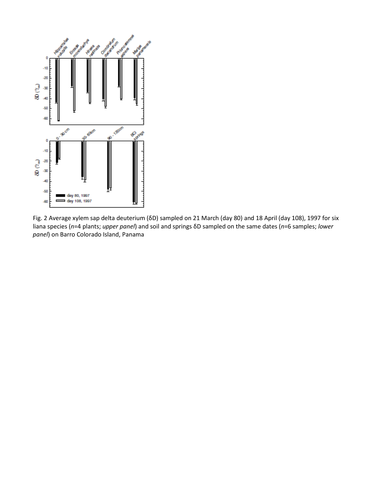

Fig. 2 Average xylem sap delta deuterium (δD) sampled on 21 March (day 80) and 18 April (day 108), 1997 for six liana species (*n*=4 plants; *upper panel*) and soil and springs δD sampled on the same dates (*n*=6 samples; *lower panel*) on Barro Colorado Island, Panama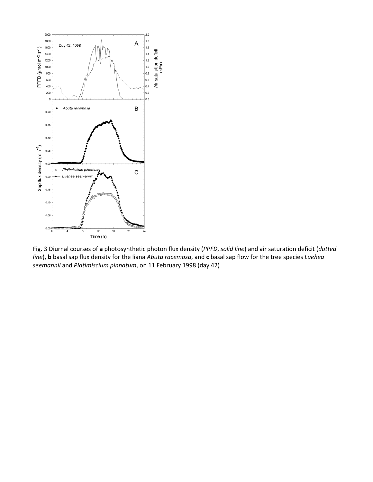

Fig. 3 Diurnal courses of **a** photosynthetic photon flux density (*PPFD*, *solid line*) and air saturation deficit (*dotted line*), **b** basal sap flux density for the liana *Abuta racemosa*, and **c** basal sap flow for the tree species *Luehea seemannii* and *Platimiscium pinnatum*, on 11 February 1998 (day 42)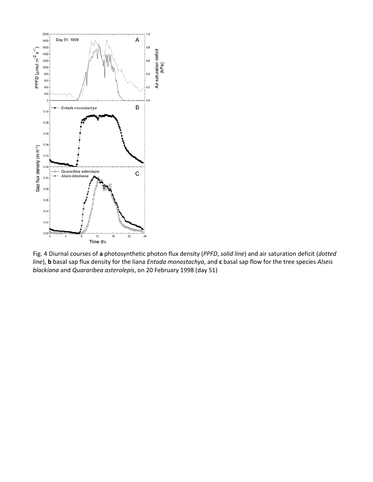

Fig. 4 Diurnal courses of **a** photosynthetic photon flux density (*PPFD*, *solid line*) and air saturation deficit (*dotted line*), **b** basal sap flux density for the liana *Entada monostachya*, and **c** basal sap flow for the tree species *Alseis blackiana* and *Quararibea asterolepis*, on 20 February 1998 (day 51)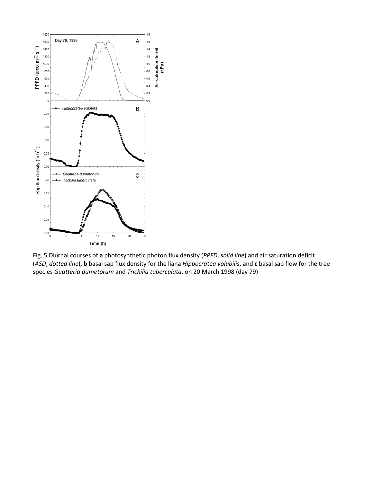

Fig. 5 Diurnal courses of **a** photosynthetic photon flux density (*PPFD*, *solid line*) and air saturation deficit (*ASD*, *dotted line*), **b** basal sap flux density for the liana *Hippocratea volubilis*, and **c** basal sap flow for the tree species *Guatteria dumetorum* and *Trichilia tuberculata*, on 20 March 1998 (day 79)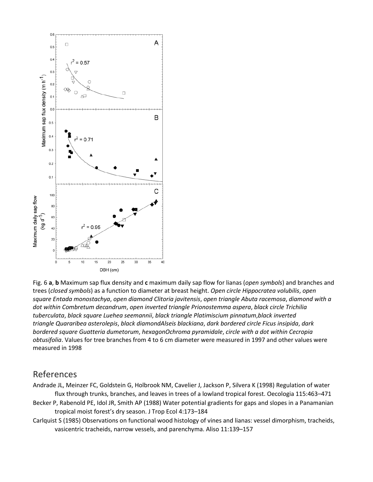

Fig. 6 **a**, **b** Maximum sap flux density and **c** maximum daily sap flow for lianas (*open symbols*) and branches and trees (*closed symbols*) as a function to diameter at breast height. *Open circle Hippocratea volubilis*, *open square Entada monostachya*, *open diamond Clitoria javitensis*, *open triangle Abuta racemosa*, *diamond with a dot within Combretum decandrum*, *open inverted triangle Prionostemma aspera*, *black circle Trichilia tuberculata*, *black square Luehea seemannii*, *black triangle Platimiscium pinnatum*,*black inverted triangle Quararibea asterolepis*, *black diamondAlseis blackiana*, *dark bordered circle Ficus insipida*, *dark bordered square Guatteria dumetorum*, *hexagonOchroma pyramidale*, *circle with a dot within Cecropia obtusifolia*. Values for tree branches from 4 to 6 cm diameter were measured in 1997 and other values were measured in 1998

### References

Andrade JL, Meinzer FC, Goldstein G, Holbrook NM, Cavelier J, Jackson P, Silvera K (1998) Regulation of water flux through trunks, branches, and leaves in trees of a lowland tropical forest. Oecologia 115:463–471 Becker P, Rabenold PE, Idol JR, Smith AP (1988) Water potential gradients for gaps and slopes in a Panamanian tropical moist forest's dry season. J Trop Ecol 4:173–184

Carlquist S (1985) Observations on functional wood histology of vines and lianas: vessel dimorphism, tracheids, vasicentric tracheids, narrow vessels, and parenchyma. Aliso 11:139–157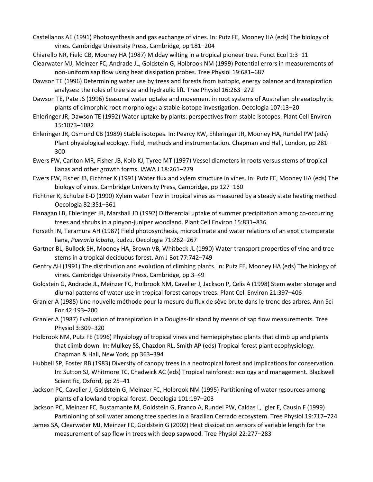Castellanos AE (1991) Photosynthesis and gas exchange of vines. In: Putz FE, Mooney HA (eds) The biology of vines. Cambridge University Press, Cambridge, pp 181–204

Chiarello NR, Field CB, Mooney HA (1987) Midday wilting in a tropical pioneer tree. Funct Ecol 1:3–11

- Clearwater MJ, Meinzer FC, Andrade JL, Goldstein G, Holbrook NM (1999) Potential errors in measurements of non-uniform sap flow using heat dissipation probes. Tree Physiol 19:681–687
- Dawson TE (1996) Determining water use by trees and forests from isotopic, energy balance and transpiration analyses: the roles of tree size and hydraulic lift. Tree Physiol 16:263–272
- Dawson TE, Pate JS (1996) Seasonal water uptake and movement in root systems of Australian phraeatophytic plants of dimorphic root morphology: a stable isotope investigation. Oecologia 107:13–20
- Ehleringer JR, Dawson TE (1992) Water uptake by plants: perspectives from stable isotopes. Plant Cell Environ 15:1073–1082
- Ehleringer JR, Osmond CB (1989) Stable isotopes. In: Pearcy RW, Ehleringer JR, Mooney HA, Rundel PW (eds) Plant physiological ecology. Field, methods and instrumentation. Chapman and Hall, London, pp 281– 300
- Ewers FW, Carlton MR, Fisher JB, Kolb KJ, Tyree MT (1997) Vessel diameters in roots versus stems of tropical lianas and other growth forms. IAWA J 18:261–279
- Ewers FW, Fisher JB, Fichtner K (1991) Water flux and xylem structure in vines. In: Putz FE, Mooney HA (eds) The biology of vines. Cambridge University Press, Cambridge, pp 127–160
- Fichtner K, Schulze E-D (1990) Xylem water flow in tropical vines as measured by a steady state heating method. Oecologia 82:351–361
- Flanagan LB, Ehleringer JR, Marshall JD (1992) Differential uptake of summer precipitation among co-occurring trees and shrubs in a pinyon-juniper woodland. Plant Cell Environ 15:831–836
- Forseth IN, Teramura AH (1987) Field photosynthesis, microclimate and water relations of an exotic temperate liana, *Pueraria lobata*, kudzu. Oecologia 71:262–267
- Gartner BL, Bullock SH, Mooney HA, Brown VB, Whitbeck JL (1990) Water transport properties of vine and tree stems in a tropical deciduous forest. Am J Bot 77:742–749
- Gentry AH (1991) The distribution and evolution of climbing plants. In: Putz FE, Mooney HA (eds) The biology of vines. Cambridge University Press, Cambridge, pp 3–49
- Goldstein G, Andrade JL, Meinzer FC, Holbrook NM, Cavelier J, Jackson P, Celis A (1998) Stem water storage and diurnal patterns of water use in tropical forest canopy trees. Plant Cell Environ 21:397–406
- Granier A (1985) Une nouvelle méthode pour la mesure du flux de sève brute dans le tronc des arbres. Ann Sci For 42:193–200
- Granier A (1987) Evaluation of transpiration in a Douglas-fir stand by means of sap flow measurements. Tree Physiol 3:309–320
- Holbrook NM, Putz FE (1996) Physiology of tropical vines and hemiepiphytes: plants that climb up and plants that climb down. In: Mulkey SS, Chazdon RL, Smith AP (eds) Tropical forest plant ecophysiology. Chapman & Hall, New York, pp 363–394
- Hubbell SP, Foster RB (1983) Diversity of canopy trees in a neotropical forest and implications for conservation. In: Sutton SJ, Whitmore TC, Chadwick AC (eds) Tropical rainforest: ecology and management. Blackwell Scientific, Oxford, pp 25–41
- Jackson PC, Cavelier J, Goldstein G, Meinzer FC, Holbrook NM (1995) Partitioning of water resources among plants of a lowland tropical forest. Oecologia 101:197–203
- Jackson PC, Meinzer FC, Bustamante M, Goldstein G, Franco A, Rundel PW, Caldas L, Igler E, Causin F (1999) Partinioning of soil water among tree species in a Brazilian Cerrado ecosystem. Tree Physiol 19:717–724
- James SA, Clearwater MJ, Meinzer FC, Goldstein G (2002) Heat dissipation sensors of variable length for the measurement of sap flow in trees with deep sapwood. Tree Physiol 22:277–283